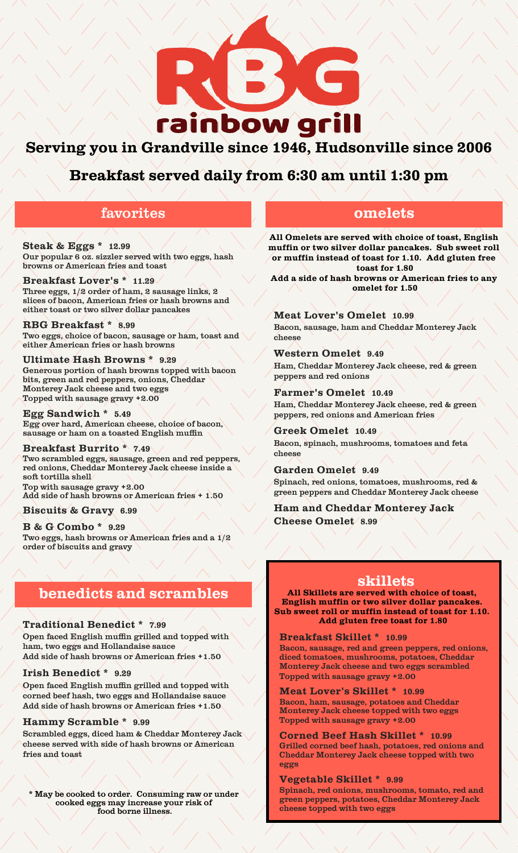

# **Serving you in Grandville since 1946, Hudsonville since 2006**

**Breakfast served daily from 6:30 am until 1:30 pm**

## favorites

**Steak & Eggs \* 12.99** Our popular 6 oz. sizzler served with two eggs, hash browns or American fries and toast

### **Breakfast Lover's \* 11.29**

Three eggs, 1/2 order of ham, 2 sausage links, 2 slices of bacon, American fries or hash browns and either toast or two silver dollar pancakes

**RBG Breakfast \* 8.99** Two eggs, choice of bacon, sausage or ham, toast and either American fries or hash browns

**Ultimate Hash Browns \* 9.29** Generous portion of hash browns topped with bacon bits, green and red peppers, onions, Cheddar Monterey Jack cheese and two eggs Topped with sausage gravy +2.00

**Egg Sandwich \* 5.49** Egg over hard, American cheese, choice of bacon, sausage or ham on a toasted English muffin

#### **Breakfast Burrito \* 7.49**

Two scrambled eggs, sausage, green and red peppers, red onions, Cheddar Monterey Jack cheese inside a soft tortilla shell Top with sausage gravy +2.00

Add side of hash browns or American fries + 1.50

### **Biscuits & Gravy 6.99**

**B & G Combo \* 9.29** Two eggs, hash browns or American fries and a 1/2 order of biscuits and gravy

## **benedicts and scrambles**

#### **Traditional Benedict \* 7.99**

Open faced English muffin grilled and topped with ham, two eggs and Hollandaise sauce Add side of hash browns or American fries +1.50

#### **Irish Benedict \* 9.29**

Open faced English muffin grilled and topped with corned beef hash, two eggs and Hollandaise sauce Add side of hash browns or American fries +1.50

#### **Hammy Scramble \* 9.99**

Scrambled eggs, diced ham & Cheddar Monterey Jack cheese served with side of hash browns or American fries and toast

\* May be cooked to order. Consuming raw or under cooked eggs may increase your risk of food borne illness.

## **omelets**

**All Omelets are served with choice of toast, English muffin or two silver dollar pancakes. Sub sweet roll or muffin instead of toast for 1.10. Add gluten free toast for 1.80**

**Add a side of hash browns or American fries to any omelet for 1.50**

**Meat Lover's Omelet 10.99** Bacon, sausage, ham and Cheddar Monterey Jack cheese

**Western Omelet 9.49** Ham, Cheddar Monterey Jack cheese, red & green peppers and red onions

**Farmer's Omelet 10.49** Ham, Cheddar Monterey Jack cheese, red & green peppers, red onions and American fries

**Greek Omelet 10.49** Bacon, spinach, mushrooms, tomatoes and feta cheese

**Garden Omelet 9.49** Spinach, red onions, tomatoes, mushrooms, red & green peppers and Cheddar Monterey Jack cheese

**Ham and Cheddar Monterey Jack Cheese Omelet 8.99**

### **skillets**

**All Skillets are served with choice of toast, English muffin or two silver dollar pancakes. Sub sweet roll or muffin instead of toast for 1.10. Add gluten free toast for 1.80**

**Breakfast Skillet \* 10.99**

Bacon, sausage, red and green peppers, red onions, diced tomatoes, mushrooms, potatoes, Cheddar Monterey Jack cheese and two eggs scrambled Topped with sausage gravy +2.00

**Meat Lover's Skillet \* 10.99**

Bacon, ham, sausage, potatoes and Cheddar Monterey Jack cheese topped with two eggs Topped with sausage gravy +2.00

**Corned Beef Hash Skillet \* 10.99**

Grilled corned beef hash, potatoes, red onions and Cheddar Monterey Jack cheese topped with two eggs

**Vegetable Skillet \* 9.99**

Spinach, red onions, mushrooms, tomato, red and green peppers, potatoes, Cheddar Monterey Jack cheese topped with two eggs